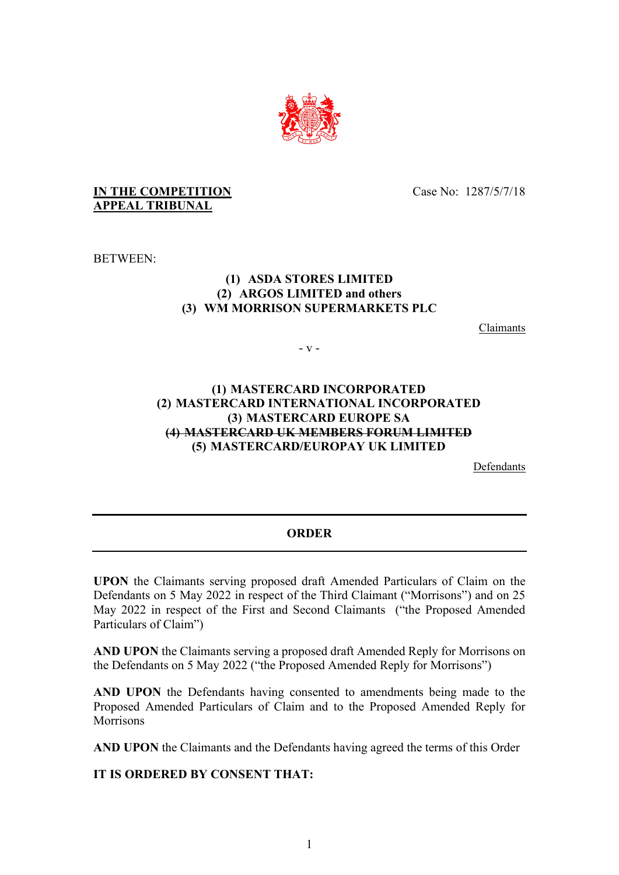

## **IN THE COMPETITION APPEAL TRIBUNAL**

Case No: 1287/5/7/18

BETWEEN:

## **(1) ASDA STORES LIMITED (2) ARGOS LIMITED and others (3) WM MORRISON SUPERMARKETS PLC**

Claimants

- v -

## **(1) MASTERCARD INCORPORATED (2) MASTERCARD INTERNATIONAL INCORPORATED (3) MASTERCARD EUROPE SA (4) MASTERCARD UK MEMBERS FORUM LIMITED (5) MASTERCARD/EUROPAY UK LIMITED**

Defendants

## **ORDER**

**UPON** the Claimants serving proposed draft Amended Particulars of Claim on the Defendants on 5 May 2022 in respect of the Third Claimant ("Morrisons") and on 25 May 2022 in respect of the First and Second Claimants ("the Proposed Amended Particulars of Claim")

**AND UPON** the Claimants serving a proposed draft Amended Reply for Morrisons on the Defendants on 5 May 2022 ("the Proposed Amended Reply for Morrisons")

**AND UPON** the Defendants having consented to amendments being made to the Proposed Amended Particulars of Claim and to the Proposed Amended Reply for **Morrisons** 

**AND UPON** the Claimants and the Defendants having agreed the terms of this Order

**IT IS ORDERED BY CONSENT THAT:**